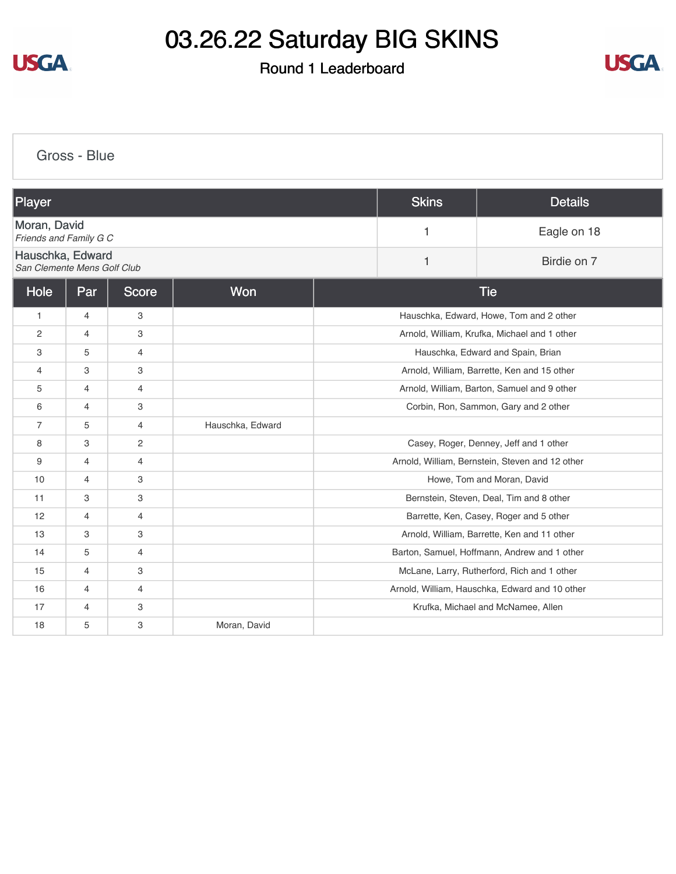

#### Round 1 Leaderboard



[Gross - Blue](https://cdn2.golfgenius.com/v2tournaments/8332188126269169712?called_from=&round_index=1) Player Skins Details [Moran, David](https://cdn2.golfgenius.com/tournaments2/details/8332583717419638799) **Friends and Family G C C** 2 **Friends** and Family G C **C** 2 **Friends** and Family G C **C** 2 **Friends** and Family G C [Hauschka, Edward](https://cdn2.golfgenius.com/tournaments2/details/8332583717419638810) **Calculate Contract Contract Contract Contract Contract Contract Contract Contract Contract Contract Contract Contra<br>
San Clemente Mens Golf Club** Hole Par Score Non Non Research Score Tie 1 4 3 3 Hauschka, Edward, Howe, Tom and 2 other 2 4 3 Arnold, William, Krufka, Michael and 1 other 3 5 4 Hauschka, Edward and Spain, Brian 4 3 3 Arnold, William, Barrette, Ken and 15 other 5 4 4 Arnold, William, Barton, Samuel and 9 other 6 4 3 3 Corbin, Ron, Sammon, Gary and 2 other 7 | 5 | 4 | Hauschka, Edward 8 3 2 2 Casey, Roger, Denney, Jeff and 1 other 9 4 4 Arnold, William, Bernstein, Steven and 12 other 10 4 3 Howe, Tom and Moran, David 11 3 3 3 3 3 Bernstein, Steven, Deal, Tim and 8 other 12 4 4 4 Harrette, Ken, Casey, Roger and 5 other 13 3 3 3 3 **Arnold, William, Barrette, Ken and 11 other** 14 **5 4 February 2018** Barton, Samuel, Hoffmann, Andrew and 1 other 15 4 3 3 McLane, Larry, Rutherford, Rich and 1 other 16 4 4 4 H Arnold, William, Hauschka, Edward and 10 other 17 4 3 3 Krufka, Michael and McNamee, Allen 18 5 3 Moran, David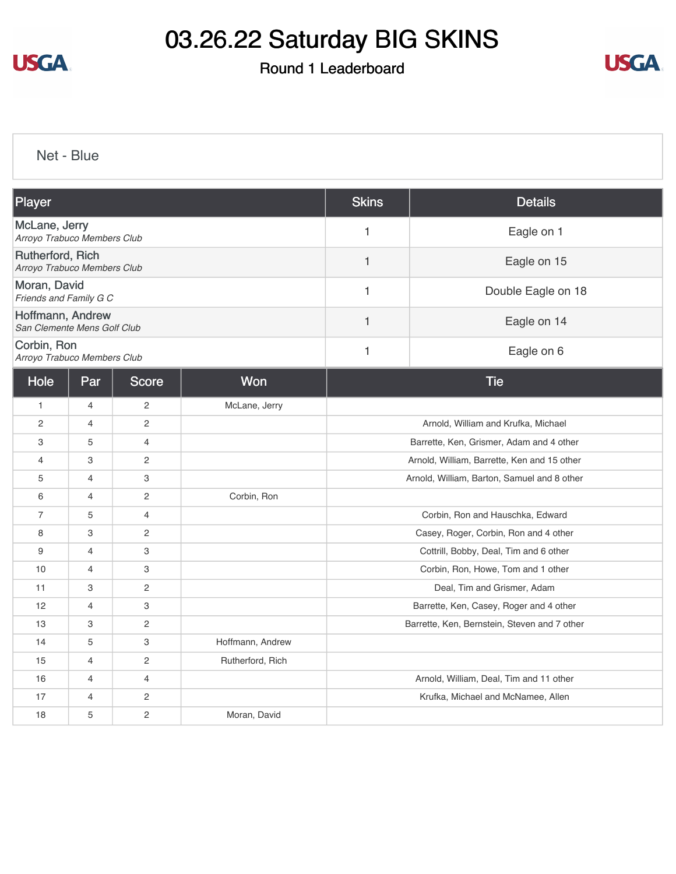

## Round 1 Leaderboard



[Net - Blue](https://cdn2.golfgenius.com/v2tournaments/8332188789271191601?called_from=&round_index=1)

| Player                                          |                     |                |                  | <b>Skins</b>                                | <b>Details</b>                               |  |  |
|-------------------------------------------------|---------------------|----------------|------------------|---------------------------------------------|----------------------------------------------|--|--|
| McLane, Jerry<br>Arroyo Trabuco Members Club    |                     |                |                  | Eagle on 1<br>$\mathbf{1}$                  |                                              |  |  |
| Rutherford, Rich<br>Arroyo Trabuco Members Club |                     |                |                  | 1                                           | Eagle on 15                                  |  |  |
| Moran, David<br>Friends and Family G C          |                     |                |                  | 1                                           | Double Eagle on 18                           |  |  |
| Hoffmann, Andrew<br>San Clemente Mens Golf Club |                     |                |                  | 1                                           | Eagle on 14                                  |  |  |
| Corbin, Ron<br>Arroyo Trabuco Members Club      |                     |                |                  | 1                                           | Eagle on 6                                   |  |  |
| Hole                                            | Par                 | <b>Score</b>   | Won              | <b>Tie</b>                                  |                                              |  |  |
| $\mathbf{1}$                                    | $\overline{4}$      | $\overline{c}$ | McLane, Jerry    |                                             |                                              |  |  |
| $\overline{2}$                                  | $\overline{4}$      | $\overline{2}$ |                  | Arnold, William and Krufka, Michael         |                                              |  |  |
| 3                                               | 5                   | $\overline{4}$ |                  | Barrette, Ken, Grismer, Adam and 4 other    |                                              |  |  |
| $\overline{4}$                                  | 3<br>$\overline{c}$ |                |                  | Arnold, William, Barrette, Ken and 15 other |                                              |  |  |
| 5                                               | $\overline{4}$<br>3 |                |                  | Arnold, William, Barton, Samuel and 8 other |                                              |  |  |
| 6                                               | $\overline{4}$      | $\overline{c}$ | Corbin, Ron      |                                             |                                              |  |  |
| $\overline{7}$                                  | 5                   | $\overline{4}$ |                  |                                             | Corbin, Ron and Hauschka, Edward             |  |  |
| 8                                               | 3                   | $\overline{c}$ |                  |                                             | Casey, Roger, Corbin, Ron and 4 other        |  |  |
| 9                                               | 3<br>4              |                |                  | Cottrill, Bobby, Deal, Tim and 6 other      |                                              |  |  |
| 10                                              | $\overline{4}$<br>3 |                |                  | Corbin, Ron, Howe, Tom and 1 other          |                                              |  |  |
| 11                                              | 3<br>$\overline{c}$ |                |                  | Deal, Tim and Grismer, Adam                 |                                              |  |  |
| 12                                              | $\overline{4}$      | 3              |                  | Barrette, Ken, Casey, Roger and 4 other     |                                              |  |  |
| 13                                              | 3                   | $\overline{c}$ |                  |                                             | Barrette, Ken, Bernstein, Steven and 7 other |  |  |
| 14                                              | 5                   | 3              | Hoffmann, Andrew |                                             |                                              |  |  |
| 15                                              | $\overline{4}$      | $\overline{c}$ | Rutherford, Rich |                                             |                                              |  |  |
| 16                                              | $\overline{4}$      | $\overline{4}$ |                  | Arnold, William, Deal, Tim and 11 other     |                                              |  |  |
| 17                                              | 4                   | $\sqrt{2}$     |                  | Krufka, Michael and McNamee, Allen          |                                              |  |  |
| 18                                              | 5                   | $\overline{c}$ | Moran, David     |                                             |                                              |  |  |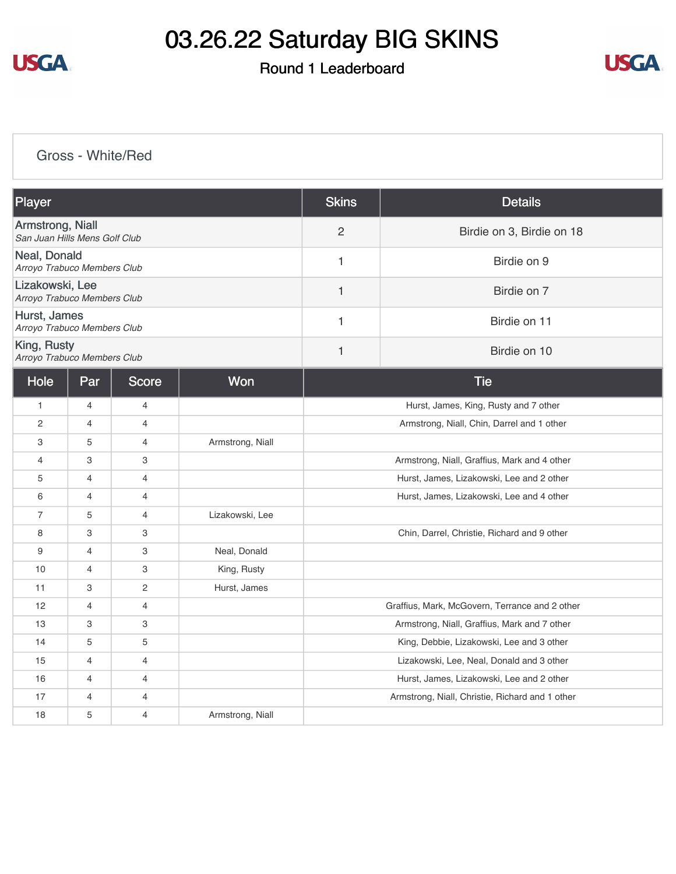

## Round 1 Leaderboard



#### [Gross - White/Red](https://cdn2.golfgenius.com/v2tournaments/8332189589242404914?called_from=&round_index=1)

| Player                                            |                |                           |                  | <b>Skins</b>                                   | <b>Details</b>                                  |  |
|---------------------------------------------------|----------------|---------------------------|------------------|------------------------------------------------|-------------------------------------------------|--|
| Armstrong, Niall<br>San Juan Hills Mens Golf Club |                |                           |                  | $\overline{c}$                                 | Birdie on 3, Birdie on 18                       |  |
| Neal, Donald<br>Arroyo Trabuco Members Club       |                |                           |                  | 1                                              | Birdie on 9                                     |  |
| Lizakowski, Lee<br>Arroyo Trabuco Members Club    |                |                           |                  | $\mathbf{1}$                                   | Birdie on 7                                     |  |
| Hurst, James<br>Arroyo Trabuco Members Club       |                |                           |                  | 1                                              | Birdie on 11                                    |  |
| King, Rusty<br>Arroyo Trabuco Members Club        |                |                           |                  | 1                                              | Birdie on 10                                    |  |
| Hole                                              | Par            | <b>Score</b>              | Won              | <b>Tie</b>                                     |                                                 |  |
| $\mathbf{1}$                                      | $\overline{4}$ | $\overline{4}$            |                  | Hurst, James, King, Rusty and 7 other          |                                                 |  |
| $\overline{2}$                                    | $\overline{4}$ | $\overline{4}$            |                  | Armstrong, Niall, Chin, Darrel and 1 other     |                                                 |  |
| 3                                                 | 5              | $\overline{4}$            | Armstrong, Niall |                                                |                                                 |  |
| $\overline{4}$                                    | 3              | $\ensuremath{\mathsf{3}}$ |                  | Armstrong, Niall, Graffius, Mark and 4 other   |                                                 |  |
| 5                                                 | $\overline{4}$ | $\overline{4}$            |                  | Hurst, James, Lizakowski, Lee and 2 other      |                                                 |  |
| 6                                                 | $\overline{4}$ | $\overline{4}$            |                  | Hurst, James, Lizakowski, Lee and 4 other      |                                                 |  |
| $\overline{7}$                                    | 5              | $\overline{4}$            | Lizakowski, Lee  |                                                |                                                 |  |
| 8                                                 | 3              | 3                         |                  | Chin, Darrel, Christie, Richard and 9 other    |                                                 |  |
| 9                                                 | $\overline{4}$ | 3                         | Neal, Donald     |                                                |                                                 |  |
| 10                                                | $\overline{4}$ | $\ensuremath{\mathsf{3}}$ | King, Rusty      |                                                |                                                 |  |
| 11                                                | 3              | $\overline{c}$            | Hurst, James     |                                                |                                                 |  |
| 12                                                | $\overline{4}$ | $\overline{4}$            |                  | Graffius, Mark, McGovern, Terrance and 2 other |                                                 |  |
| 13                                                | 3              | 3                         |                  | Armstrong, Niall, Graffius, Mark and 7 other   |                                                 |  |
| 14                                                | 5              | 5                         |                  |                                                | King, Debbie, Lizakowski, Lee and 3 other       |  |
| 15                                                | 4              | $\overline{4}$            |                  |                                                | Lizakowski, Lee, Neal, Donald and 3 other       |  |
| 16                                                | $\overline{4}$ | $\overline{4}$            |                  |                                                | Hurst, James, Lizakowski, Lee and 2 other       |  |
| 17                                                | 4              | $\overline{4}$            |                  |                                                | Armstrong, Niall, Christie, Richard and 1 other |  |
| 18                                                | 5              | $\overline{4}$            | Armstrong, Niall |                                                |                                                 |  |